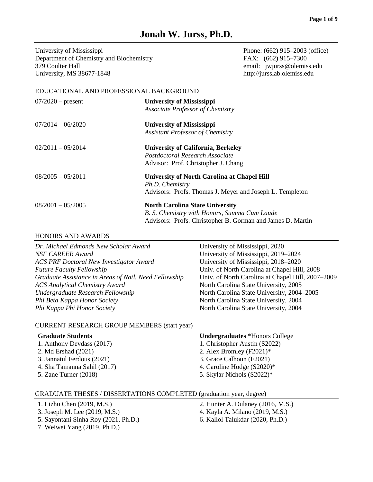# **Jonah W. Jurss, Ph.D.**

University of Mississippi Phone: (662) 915–2003 (office) Department of Chemistry and Biochemistry FAX: (662) 915–7300 379 Coulter Hall email: jwjurss@olemiss.edu University, MS 38677-1848 http://jursslab.olemiss.edu

### EDUCATIONAL AND PROFESSIONAL BACKGROUND

| $07/2020$ – present | <b>University of Mississippi</b><br>Associate Professor of Chemistry                                                                                 |
|---------------------|------------------------------------------------------------------------------------------------------------------------------------------------------|
| $07/2014 - 06/2020$ | <b>University of Mississippi</b><br><b>Assistant Professor of Chemistry</b>                                                                          |
| $02/2011 - 05/2014$ | <b>University of California, Berkeley</b><br>Postdoctoral Research Associate<br>Advisor: Prof. Christopher J. Chang                                  |
| $08/2005 - 05/2011$ | <b>University of North Carolina at Chapel Hill</b><br>Ph.D. Chemistry<br>Advisors: Profs. Thomas J. Meyer and Joseph L. Templeton                    |
| $08/2001 - 05/2005$ | <b>North Carolina State University</b><br>B. S. Chemistry with Honors, Summa Cum Laude<br>Advisors: Profs. Christopher B. Gorman and James D. Martin |

### HONORS AND AWARDS

| Dr. Michael Edmonds New Scholar Award                 | University of Mississippi, 2020                   |
|-------------------------------------------------------|---------------------------------------------------|
| NSF CAREER Award                                      | University of Mississippi, 2019–2024              |
| <b>ACS PRF Doctoral New Investigator Award</b>        | University of Mississippi, 2018–2020              |
| <b>Future Faculty Fellowship</b>                      | Univ. of North Carolina at Chapel Hill, 2008      |
| Graduate Assistance in Areas of Natl. Need Fellowship | Univ. of North Carolina at Chapel Hill, 2007–2009 |
| <b>ACS Analytical Chemistry Award</b>                 | North Carolina State University, 2005             |
| Undergraduate Research Fellowship                     | North Carolina State University, 2004–2005        |
| Phi Beta Kappa Honor Society                          | North Carolina State University, 2004             |
| Phi Kappa Phi Honor Society                           | North Carolina State University, 2004             |

# CURRENT RESEARCH GROUP MEMBERS (start year)

| <b>Graduate Students</b>    | <b>Undergraduates</b> *Honors College |
|-----------------------------|---------------------------------------|
| 1. Anthony Devdass (2017)   | 1. Christopher Austin (S2022)         |
| 2. Md Ershad (2021)         | 2. Alex Bromley $(F2021)^*$           |
| 3. Januari Ferdous (2021)   | 3. Grace Calhoun (F2021)              |
| 4. Sha Tamanna Sahil (2017) | 4. Caroline Hodge $(S2020)^*$         |
| 5. Zane Turner $(2018)$     | 5. Skylar Nichols (S2022)*            |

# GRADUATE THESES / DISSERTATIONS COMPLETED (graduation year, degree)

- 
- 
- 5. Sayontani Sinha Roy (2021, Ph.D.) 6. Kallol Talukdar (2020, Ph.D.)
- 7. Weiwei Yang (2019, Ph.D.)
- 1. Lizhu Chen (2019, M.S.) 2. Hunter A. Dulaney (2016, M.S.)
- 3. Joseph M. Lee (2019, M.S.) 4. Kayla A. Milano (2019, M.S.)
	-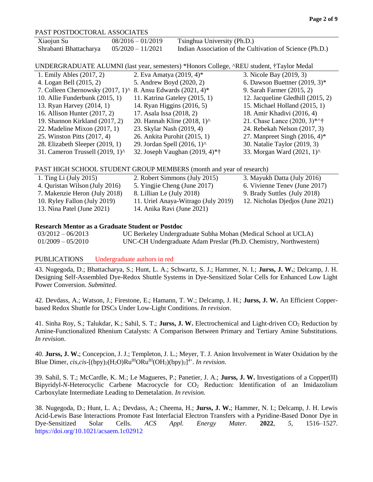### PAST POSTDOCTORAL ASSOCIATES

| Xiaojun Su             | $08/2016 - 01/2019$ | Tsinghua University (Ph.D.)                              |
|------------------------|---------------------|----------------------------------------------------------|
| Shrabanti Bhattacharya | $05/2020 - 11/2021$ | Indian Association of the Cultivation of Science (Ph.D.) |

UNDERGRADUATE ALUMNI (last year, semesters) \*Honors College, ^REU student, †Taylor Medal

| 1. Emily Ables (2017, 2)                                           | 2. Eva Amatya (2019, 4)*                 | 3. Nicole Bay (2019, 3)           |
|--------------------------------------------------------------------|------------------------------------------|-----------------------------------|
| 4. Logan Bell (2015, 2)                                            | 5. Andrew Boyd (2020, 2)                 | 6. Dawson Buettner $(2019, 3)^*$  |
| 7. Colleen Chernowsky (2017, 1) $\land$ 8. Ansu Edwards (2021, 4)* |                                          | 9. Sarah Farmer (2015, 2)         |
| 10. Allie Funderbunk $(2015, 1)$                                   | 11. Katrina Gateley (2015, 1)            | 12. Jacqueline Gledhill (2015, 2) |
| 13. Ryan Harvey (2014, 1)                                          | 14. Ryan Higgins (2016, 5)               | 15. Michael Holland (2015, 1)     |
| 16. Allison Hunter (2017, 2)                                       | 17. Asala Issa (2018, 2)                 | 18. Amir Khadivi (2016, 4)        |
| 19. Shannon Kirkland (2017, 2)                                     | 20. Hannah Kline $(2018, 1)^{\wedge}$    | 21. Chase Lance $(2020, 3)$ *^†   |
| 22. Madeline Mixon $(2017, 1)$                                     | 23. Skylar Nash (2019, 4)                | 24. Rebekah Nelson (2017, 3)      |
| 25. Winston Pitts (2017, 4)                                        | 26. Ankita Purohit (2015, 1)             | 27. Manpreet Singh $(2016, 4)$ *  |
| 28. Elizabeth Sleeper (2019, 1)                                    | 29. Jordan Spell $(2016, 1)$ ^           | 30. Natalie Taylor (2019, 3)      |
| 31. Cameron Trussell $(2019, 1)$ ^                                 | 32. Joseph Vaughan $(2019, 4)*{\dagger}$ | 33. Morgan Ward (2021, 1)^        |

### PAST HIGH SCHOOL STUDENT GROUP MEMBERS (month and year of research)

| 1. Ting Li $(\text{July } 2015)$ | 2. Robert Simmons (July 2015)       | 3. Mayukh Datta (July 2016)      |
|----------------------------------|-------------------------------------|----------------------------------|
| 4. Quristan Wilson (July 2016)   | 5. Yingjie Cheng (June 2017)        | 6. Vivienne Tenev (June 2017)    |
| 7. Makenzie Heron (July 2018)    | 8. Lillian Le (July 2018)           | 9. Brady Suttles (July 2018)     |
| 10. Ryley Fallon (July 2019)     | 11. Uriel Anaya-Witrago (July 2019) | 12. Nicholas Djedjos (June 2021) |
| 13. Nina Patel (June 2021)       | 14. Anika Ravi (June 2021)          |                                  |

### **Research Mentor as a Graduate Student or Postdoc**

03/2012 – 06/2013 UC Berkeley Undergraduate Subha Mohan (Medical School at UCLA) 01/2009 – 05/2010 UNC-CH Undergraduate Adam Preslar (Ph.D. Chemistry, Northwestern)

### PUBLICATIONSUndergraduate authors in red

43. Nugegoda, D.; Bhattacharya, S.; Hunt, L. A.; Schwartz, S. J.; Hammer, N. I.; **Jurss, J. W.**; Delcamp, J. H. Designing Self-Assembled Dye-Redox Shuttle Systems in Dye-Sensitized Solar Cells for Enhanced Low Light Power Conversion. *Submitted*.

42. Devdass, A.; Watson, J.; Firestone, E.; Hamann, T. W.; Delcamp, J. H.; **Jurss, J. W.** An Efficient Copperbased Redox Shuttle for DSCs Under Low-Light Conditions. *In revision*.

41. Sinha Roy, S.; Talukdar, K.; Sahil, S. T.; **Jurss, J. W.** Electrochemical and Light-driven CO<sup>2</sup> Reduction by Amine-Functionalized Rhenium Catalysts: A Comparison Between Primary and Tertiary Amine Substitutions. *In revision*.

40. **Jurss, J. W.**; Concepcion, J. J.; Templeton, J. L.; Meyer, T. J. Anion Involvement in Water Oxidation by the Blue Dimer,  $cis, cis$ -[(bpy)<sub>2</sub>(H<sub>2</sub>O)Ru<sup>III</sup>ORu<sup>III</sup>(OH<sub>2</sub>)(bpy)<sub>2</sub>]<sup>4+</sup>. *In revision.* 

39. Sahil, S. T.; McCardle, K. M.; Le Magueres, P.; Panetier, J. A.; **Jurss, J. W.** Investigations of a Copper(II) Bipyridyl-*N*-Heterocyclic Carbene Macrocycle for CO<sup>2</sup> Reduction: Identification of an Imidazolium Carboxylate Intermediate Leading to Demetalation. *In revision.*

38. Nugegoda, D.; Hunt, L. A.; Devdass, A.; Cheema, H.; **Jurss, J. W.**; Hammer, N. I.; Delcamp, J. H. Lewis Acid-Lewis Base Interactions Promote Fast Interfacial Electron Transfers with a Pyridine-Based Donor Dye in Dye-Sensitized Solar Cells. *ACS Appl. Energy Mater.* **2022**, *5*, 1516–1527. https://doi.org/10.1021/acsaem.1c02912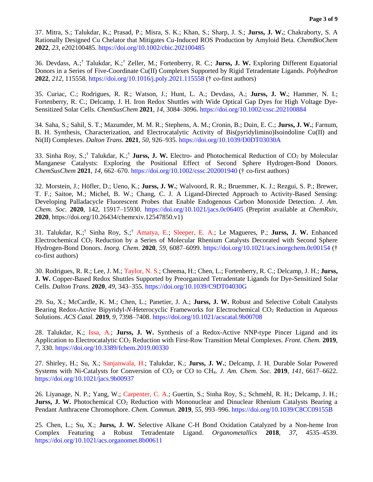37. Mitra, S.; Talukdar, K.; Prasad, P.; Misra, S. K.; Khan, S.; Sharp, J. S.; **Jurss, J. W.**; Chakraborty, S. A Rationally Designed Cu Chelator that Mitigates Cu-Induced ROS Production by Amyloid Beta. *ChemBioChem*  **2022**, *23*, e202100485. https://doi.org/10.1002/cbic.202100485

36. Devdass, A.;† Talukdar, K.;† Zeller, M.; Fortenberry, R. C.; **Jurss, J. W.** Exploring Different Equatorial Donors in a Series of Five-Coordinate Cu(II) Complexes Supported by Rigid Tetradentate Ligands. *Polyhedron*  **2022**, *212*, 115558. https://doi.org/10.1016/j.poly.2021.115558 († co-first authors)

35. Curiac, C.; Rodrigues, R. R.; Watson, J.; Hunt, L. A.; Devdass, A.; **Jurss, J. W.**; Hammer, N. I.; Fortenberry, R. C.; Delcamp, J. H. Iron Redox Shuttles with Wide Optical Gap Dyes for High Voltage Dye-Sensitized Solar Cells. *ChemSusChem* **2021**, *14*, 3084–3096. https://doi.org/10.1002/cssc.202100884

34. Saha, S.; Sahil, S. T.; Mazumder, M. M. R.; Stephens, A. M.; Cronin, B.; Duin, E. C.; **Jurss, J. W.**; Farnum, B. H. Synthesis, Characterization, and Electrocatalytic Activity of Bis(pyridylimino)Isoindoline Cu(II) and Ni(II) Complexes. *Dalton Trans.* **2021**, *50*, 926–935. https://doi.org/10.1039/D0DT03030A

33. Sinha Roy, S.;<sup>†</sup> Talukdar, K.;<sup>†</sup> Jurss, J. W. Electro- and Photochemical Reduction of CO<sub>2</sub> by Molecular Manganese Catalysts: Exploring the Positional Effect of Second Sphere Hydrogen-Bond Donors. *ChemSusChem* **2021**, *14*, 662–670. https://doi.org/10.1002/cssc.202001940 († co-first authors)

32. Morstein, J.; Höfler, D.; Ueno, K.; **Jurss, J. W.**; Walvoord, R. R.; Bruemmer, K. J.; Rezgui, S. P.; Brewer, T. F.; Saitoe, M.; Michel, B. W.; Chang, C. J. A Ligand-Directed Approach to Activity-Based Sensing: Developing Palladacycle Fluorescent Probes that Enable Endogenous Carbon Monoxide Detection. *J. Am. Chem. Soc.* **2020**, 142, 15917–15930. https://doi.org/10.1021/jacs.0c06405 (Preprint available at *ChemRxiv,* **2020**, https://doi.org/10.26434/chemrxiv.12547850.v1)

31. Talukdar, K.;† Sinha Roy, S.;† Amatya, E.; Sleeper, E. A.; Le Magueres, P.; **Jurss, J. W.** Enhanced Electrochemical CO<sup>2</sup> Reduction by a Series of Molecular Rhenium Catalysts Decorated with Second Sphere Hydrogen-Bond Donors. *Inorg. Chem.* **2020**, *59*, 6087–6099. https://doi.org/10.1021/acs.inorgchem.0c00154 († co-first authors)

30. Rodrigues, R. R.; Lee, J. M.; Taylor, N. S.; Cheema, H.; Chen, L.; Fortenberry, R. C.; Delcamp, J. H.; **Jurss, J. W.** Copper-Based Redox Shuttles Supported by Preorganized Tetradentate Ligands for Dye-Sensitized Solar Cells. *Dalton Trans.* **2020**, *49*, 343–355. https://doi.org/10.1039/C9DT04030G

29. Su, X.; McCardle, K. M.; Chen, L.; Panetier, J. A.; **Jurss, J. W.** Robust and Selective Cobalt Catalysts Bearing Redox-Active Bipyridyl-*N*-Heterocyclic Frameworks for Electrochemical CO<sub>2</sub> Reduction in Aqueous Solutions. *ACS Catal.* **2019**, *9*, 7398–7408. https://doi.org/10.1021/acscatal.9b00708

28. Talukdar, K.; Issa, A.; **Jurss, J. W.** Synthesis of a Redox-Active NNP-type Pincer Ligand and its Application to Electrocatalytic CO<sup>2</sup> Reduction with First-Row Transition Metal Complexes. *Front. Chem.* **2019**, *7*, 330. https://doi.org/10.3389/fchem.2019.00330

27. Shirley, H.; Su, X.; Sanjanwala, H.; Talukdar, K.; **Jurss, J. W.**; Delcamp, J. H. Durable Solar Powered Systems with Ni-Catalysts for Conversion of CO<sup>2</sup> or CO to CH4. *J. Am. Chem. Soc.* **2019**, *141*, 6617–6622. https://doi.org/10.1021/jacs.9b00937

26. Liyanage, N. P.; Yang, W.; Carpenter, C. A.; Guertin, S.; Sinha Roy, S.; Schmehl, R. H.; Delcamp, J. H.; **Jurss, J. W.** Photochemical CO<sub>2</sub> Reduction with Mononuclear and Dinuclear Rhenium Catalysts Bearing a Pendant Anthracene Chromophore. *Chem. Commun.* **2019**, *55*, 993–996. https://doi.org/10.1039/C8CC09155B

25. Chen, L.; Su, X.; **Jurss, J. W.** Selective Alkane C-H Bond Oxidation Catalyzed by a Non-heme Iron Complex Featuring a Robust Tetradentate Ligand. *Organometallics* **2018**, *37*, 4535–4539. https://doi.org/10.1021/acs.organomet.8b00611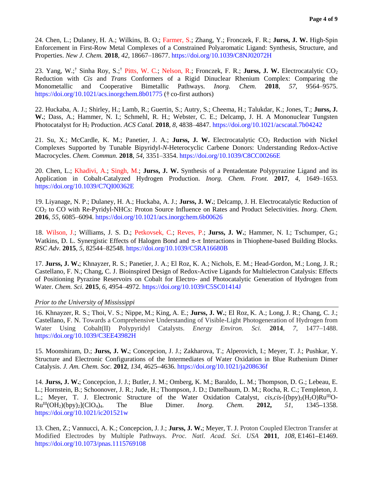24. Chen, L.; Dulaney, H. A.; Wilkins, B. O.; Farmer, S.; Zhang, Y.; Fronczek, F. R.; **Jurss, J. W.** High-Spin Enforcement in First-Row Metal Complexes of a Constrained Polyaromatic Ligand: Synthesis, Structure, and Properties. *New J. Chem.* **2018**, *42*, 18667–18677. https://doi.org/10.1039/C8NJ02072H

23. Yang, W.;<sup>†</sup> Sinha Roy, S.;<sup>†</sup> Pitts, W. C.; Nelson, R.; Fronczek, F. R.; **Jurss, J. W.** Electrocatalytic CO<sub>2</sub> Reduction with *Cis* and *Trans* Conformers of a Rigid Dinuclear Rhenium Complex: Comparing the Monometallic and Cooperative Bimetallic Pathways. *Inorg. Chem.* **2018**, *57*, 9564–9575. https://doi.org/10.1021/acs.inorgchem.8b01775 († co-first authors)

22. Huckaba, A. J.; Shirley, H.; Lamb, R.; Guertin, S.; Autry, S.; Cheema, H.; Talukdar, K.; Jones, T.; **Jurss, J. W.**; Dass, A.; Hammer, N. I.; Schmehl, R. H.; Webster, C. E.; Delcamp, J. H. A Mononuclear Tungsten Photocatalyst for H<sup>2</sup> Production. *ACS Catal.* **2018**, *8*, 4838–4847. https://doi.org/10.1021/acscatal.7b04242

21. Su, X.; McCardle, K. M.; Panetier, J. A.; Jurss, J. W. Electrocatalytic CO<sub>2</sub> Reduction with Nickel Complexes Supported by Tunable Bipyridyl-*N*-Heterocyclic Carbene Donors: Understanding Redox-Active Macrocycles. *Chem. Commun.* **2018**, *54*, 3351–3354. https://doi.org/10.1039/C8CC00266E

20. Chen, L.; Khadivi, A.; Singh, M.; **Jurss, J. W.** Synthesis of a Pentadentate Polypyrazine Ligand and its Application in Cobalt-Catalyzed Hydrogen Production. *Inorg. Chem. Front.* **2017**, *4*, 1649–1653. https://doi.org/10.1039/C7QI00362E

19. Liyanage, N. P.; Dulaney, H. A.; Huckaba, A. J.; **Jurss, J. W.**; Delcamp, J. H. Electrocatalytic Reduction of CO<sup>2</sup> to CO with Re-Pyridyl-NHCs: Proton Source Influence on Rates and Product Selectivities. *Inorg. Chem.*  **2016**, *55*, 6085–6094. https://doi.org/10.1021/acs.inorgchem.6b00626

18. Wilson, J.; Williams, J. S. D.; Petkovsek, C.; Reves, P.; **Jurss, J. W.**; Hammer, N. I.; Tschumper, G.; Watkins, D. L. Synergistic Effects of Halogen Bond and  $\pi$ - $\pi$  Interactions in Thiophene-based Building Blocks. *RSC Adv.* **2015***, 5,* 82544–82548. https://doi.org/10.1039/C5RA16680B

17. **Jurss, J. W.**; Khnayzer, R. S.; Panetier, J. A.; El Roz, K. A.; Nichols, E. M.; Head-Gordon, M.; Long, J. R.; Castellano, F. N.; Chang, C. J. Bioinspired Design of Redox-Active Ligands for Multielectron Catalysis: Effects of Positioning Pyrazine Reservoirs on Cobalt for Electro- and Photocatalytic Generation of Hydrogen from Water. *Chem. Sci.* **2015**, *6,* 4954–4972. https://doi.org/10.1039/C5SC01414J

### *Prior to the University of Mississippi*

16. Khnayzer, R. S.; Thoi, V. S.; Nippe, M.; King, A. E.; **Jurss, J. W.**; El Roz, K. A.; Long, J. R.; Chang, C. J.; Castellano, F. N. Towards a Comprehensive Understanding of Visible-Light Photogeneration of Hydrogen from Water Using Cobalt(II) Polypyridyl Catalysts. *Energy Environ. Sci.* **2014**, *7*, 1477–1488. https://doi.org/10.1039/C3EE43982H

15. Moonshiram, D.; **Jurss, J. W.**; Concepcion, J. J.; Zakharova, T.; Alperovich, I.; Meyer, T. J.; Pushkar, Y. Structure and Electronic Configurations of the Intermediates of Water Oxidation in Blue Ruthenium Dimer Catalysis. *J. Am. Chem. Soc.* **2012**, *134*, 4625**–**4636. https://doi.org/10.1021/ja208636f

14. **Jurss, J. W.**; Concepcion, J. J.; Butler, J. M.; Omberg, K. M.; Baraldo, L. M.; Thompson, D. G.; Lebeau, E. L.; Hornstein, B.; Schoonover, J. R.; Jude, H.; Thompson, J. D.; Dattelbaum, D. M.; Rocha, R. C.; Templeton, J. L.; Meyer, T. J. Electronic Structure of the Water Oxidation Catalyst,  $cis, cis$ - $[(by)_2(H_2O)Ru^{III}O Ru^{III}(OH_2)(bpy)_2[(ClO_4)_4]$ . The Blue Dimer. *Inorg. Chem.* **2012,** 51, 1345–1358. https://doi.org/10.1021/ic201521w

13. Chen, Z.; Vannucci, A. K.; Concepcion, J. J.; **Jurss, J. W.**; Meyer, T. J. Proton Coupled Electron Transfer at Modified Electrodes by Multiple Pathways. *Proc. Natl. Acad. Sci. USA* **2011***, 108*, E1461**–**E1469. https://doi.org/10.1073/pnas.1115769108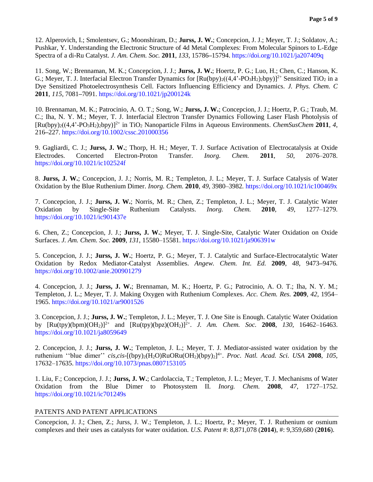12. Alperovich, I.; Smolentsev, G.; Moonshiram, D.; **Jurss, J. W.**; Concepcion, J. J.; Meyer, T. J.; Soldatov, A.; Pushkar, Y. Understanding the Electronic Structure of 4d Metal Complexes: From Molecular Spinors to L-Edge Spectra of a di-Ru Catalyst. *J. Am. Chem. Soc.* **2011**, *133*, 15786**–**15794. https://doi.org/10.1021/ja207409q

11. Song, W.; Brennaman, M. K.; Concepcion, J. J.; **Jurss, J. W.**; Hoertz, P. G.; Luo, H.; Chen, C.; Hanson, K. G.; Meyer, T. J. Interfacial Electron Transfer Dynamics for  $\left[\text{Ru(bpy)}_2\right]\left((4,4^2-\text{PO}_3\text{H}_2)_2\text{bpy}\right)]^{2+}$  Sensitized TiO<sub>2</sub> in a Dye Sensitized Photoelectrosynthesis Cell. Factors Influencing Efficiency and Dynamics. *J. Phys. Chem. C* **2011**, *115*, 7081**–**7091. https://doi.org/10.1021/jp200124k

10. Brennaman, M. K.; Patrocinio, A. O. T.; Song, W.; **Jurss, J. W.**; Concepcion, J. J.; Hoertz, P. G.; Traub, M. C.; Iha, N. Y. M.; Meyer, T. J. Interfacial Electron Transfer Dynamics Following Laser Flash Photolysis of [Ru(bpy)<sub>2</sub>((4,4'-PO<sub>3</sub>H<sub>2</sub>)<sub>2</sub>bpy)]<sup>2+</sup> in TiO<sub>2</sub> Nanoparticle Films in Aqueous Environments. *ChemSusChem* 2011, 4, 216**–**227. https://doi.org/10.1002/cssc.201000356

9. Gagliardi, C. J.; **Jurss, J. W.**; Thorp, H. H.; Meyer, T. J. Surface Activation of Electrocatalysis at Oxide Electrodes. Concerted Electron-Proton Transfer. *Inorg. Chem.* **2011**, *50*, 2076–2078. https://doi.org/10.1021/ic102524f

8. **Jurss, J. W.**; Concepcion, J. J.; Norris, M. R.; Templeton, J. L.; Meyer, T. J. Surface Catalysis of Water Oxidation by the Blue Ruthenium Dimer. *Inorg. Chem.* **2010**, *49*, 3980–3982*.* https://doi.org/10.1021/ic100469x

7. Concepcion, J. J.; **Jurss, J. W.**; Norris, M. R.; Chen, Z.; Templeton, J. L.; Meyer, T. J. Catalytic Water Oxidation by Single-Site Ruthenium Catalysts. *Inorg. Chem.* **2010**, *49*, 1277–1279. https://doi.org/10.1021/ic901437e

6. Chen, Z.; Concepcion, J. J.; **Jurss, J. W.**; Meyer, T. J. Single-Site, Catalytic Water Oxidation on Oxide Surfaces. *J. Am. Chem. Soc.* **2009**, *131*, 15580–15581. https://doi.org/10.1021/ja906391w

5. Concepcion, J. J.; **Jurss, J. W.**; Hoertz, P. G.; Meyer, T. J. Catalytic and Surface**-**Electrocatalytic Water Oxidation by Redox Mediator-Catalyst Assemblies. *Angew. Chem. Int. Ed.* **2009**, *48*, 9473**–**9476*.* https://doi.org/10.1002/anie.200901279

4. Concepcion, J. J.; **Jurss, J. W.**; Brennaman, M. K.; Hoertz, P. G.; Patrocinio, A. O. T.; Iha, N. Y. M.; Templeton, J. L.; Meyer, T. J. Making Oxygen with Ruthenium Complexes. *Acc. Chem. Res.* **2009***, 42*, 1954– 1965. https://doi.org/10.1021/ar9001526

3. Concepcion, J. J.; **Jurss, J. W.**; Templeton, J. L.; Meyer, T. J. One Site is Enough. Catalytic Water Oxidation by [Ru(tpy)(bpm)(OH2)]2+ and [Ru(tpy)(bpz)(OH2)]2+ . *J. Am. Chem. Soc.* **2008**, *130*, 16462–16463. https://doi.org/10.1021/ja8059649

2. Concepcion, J. J.; **Jurss, J. W.**; Templeton, J. L.; Meyer, T. J. Mediator-assisted water oxidation by the ruthenium "blue dimer" *cis,cis*-[(bpy)<sub>2</sub>(H<sub>2</sub>O)RuORu(OH<sub>2</sub>)(bpy)<sub>2</sub>]<sup>4+</sup>. *Proc. Natl. Acad. Sci. USA* 2008, 105, 17632–17635. https://doi.org/10.1073/pnas.0807153105

1. Liu, F.; Concepcion, J. J.; **Jurss, J. W.**; Cardolaccia, T.; Templeton, J. L.; Meyer, T. J. Mechanisms of Water Oxidation from the Blue Dimer to Photosystem II. *Inorg. Chem.* **2008**, *47*, 1727–1752. https://doi.org/10.1021/ic701249s

# PATENTS AND PATENT APPLICATIONS

Concepcion, J. J.; Chen, Z.; Jurss, J. W.; Templeton, J. L.; Hoertz, P.; Meyer, T. J. Ruthenium or osmium complexes and their uses as catalysts for water oxidation. *U.S. Patent* #: 8,871,078 (**2014**), #: 9,359,680 (**2016**).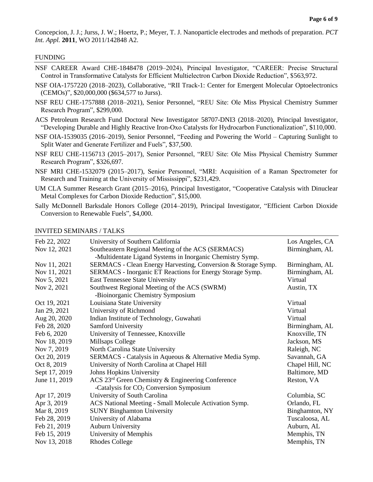Concepcion, J. J.; Jurss, J. W.; Hoertz, P.; Meyer, T. J. Nanoparticle electrodes and methods of preparation. *PCT Int. Appl.* **2011**, WO 2011/142848 A2.

#### FUNDING

- NSF CAREER Award CHE-1848478 (2019–2024), Principal Investigator, "CAREER: Precise Structural Control in Transformative Catalysts for Efficient Multielectron Carbon Dioxide Reduction", \$563,972.
- NSF OIA-1757220 (2018–2023), Collaborative, "RII Track-1: Center for Emergent Molecular Optoelectronics (CEMOs)", \$20,000,000 (\$634,577 to Jurss).
- NSF REU CHE-1757888 (2018–2021), Senior Personnel, "REU Site: Ole Miss Physical Chemistry Summer Research Program", \$299,000.
- ACS Petroleum Research Fund Doctoral New Investigator 58707-DNI3 (2018–2020), Principal Investigator, "Developing Durable and Highly Reactive Iron-Oxo Catalysts for Hydrocarbon Functionalization", \$110,000.
- NSF OIA-1539035 (2016–2019), Senior Personnel, "Feeding and Powering the World Capturing Sunlight to Split Water and Generate Fertilizer and Fuels", \$37,500.
- NSF REU CHE-1156713 (2015–2017), Senior Personnel, "REU Site: Ole Miss Physical Chemistry Summer Research Program", \$326,697.
- NSF MRI CHE-1532079 (2015–2017), Senior Personnel, "MRI: Acquisition of a Raman Spectrometer for Research and Training at the University of Mississippi", \$231,429.
- UM CLA Summer Research Grant (2015–2016), Principal Investigator, "Cooperative Catalysis with Dinuclear Metal Complexes for Carbon Dioxide Reduction", \$15,000.
- Sally McDonnell Barksdale Honors College (2014–2019), Principal Investigator, "Efficient Carbon Dioxide Conversion to Renewable Fuels", \$4,000.

#### INVITED SEMINARS / TALKS

| Feb 22, 2022  | University of Southern California                                                 | Los Angeles, CA |
|---------------|-----------------------------------------------------------------------------------|-----------------|
| Nov 12, 2021  | Southeastern Regional Meeting of the ACS (SERMACS)                                | Birmingham, AL  |
|               | -Multidentate Ligand Systems in Inorganic Chemistry Symp.                         |                 |
| Nov 11, 2021  | SERMACS - Clean Energy Harvesting, Conversion & Storage Symp.                     | Birmingham, AL  |
| Nov 11, 2021  | SERMACS - Inorganic ET Reactions for Energy Storage Symp.                         | Birmingham, AL  |
| Nov 5, 2021   | <b>East Tennessee State University</b>                                            | Virtual         |
| Nov 2, 2021   | Southwest Regional Meeting of the ACS (SWRM)<br>-Bioinorganic Chemistry Symposium | Austin, TX      |
| Oct 19, 2021  | Louisiana State University                                                        | Virtual         |
| Jan 29, 2021  | University of Richmond                                                            | Virtual         |
| Aug 20, 2020  | Indian Institute of Technology, Guwahati                                          | Virtual         |
| Feb 28, 2020  | Samford University                                                                | Birmingham, AL  |
| Feb 6, 2020   | University of Tennessee, Knoxville                                                | Knoxville, TN   |
| Nov 18, 2019  | Millsaps College                                                                  | Jackson, MS     |
| Nov 7, 2019   | North Carolina State University                                                   | Raleigh, NC     |
| Oct 20, 2019  | SERMACS - Catalysis in Aqueous & Alternative Media Symp.                          | Savannah, GA    |
| Oct 8, 2019   | University of North Carolina at Chapel Hill                                       | Chapel Hill, NC |
| Sept 17, 2019 | Johns Hopkins University                                                          | Baltimore, MD   |
| June 11, 2019 | ACS 23 <sup>rd</sup> Green Chemistry & Engineering Conference                     | Reston, VA      |
|               | -Catalysis for CO <sub>2</sub> Conversion Symposium                               |                 |
| Apr 17, 2019  | University of South Carolina                                                      | Columbia, SC    |
| Apr 3, 2019   | ACS National Meeting - Small Molecule Activation Symp.                            | Orlando, FL     |
| Mar 8, 2019   | <b>SUNY Binghamton University</b>                                                 | Binghamton, NY  |
| Feb 28, 2019  | University of Alabama                                                             | Tuscaloosa, AL  |
| Feb 21, 2019  | <b>Auburn University</b>                                                          | Auburn, AL      |
| Feb 15, 2019  | University of Memphis                                                             | Memphis, TN     |
| Nov 13, 2018  | <b>Rhodes College</b>                                                             | Memphis, TN     |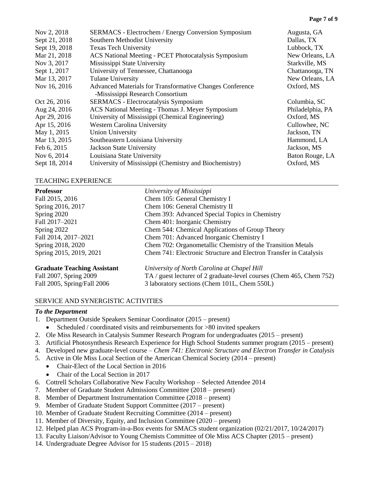| Nov 2, 2018   | <b>SERMACS</b> - Electrochem / Energy Conversion Symposium | Augusta, GA      |
|---------------|------------------------------------------------------------|------------------|
| Sept 21, 2018 | Southern Methodist University                              | Dallas, TX       |
| Sept 19, 2018 | <b>Texas Tech University</b>                               | Lubbock, TX      |
| Mar 21, 2018  | ACS National Meeting - PCET Photocatalysis Symposium       | New Orleans, LA  |
| Nov 3, 2017   | Mississippi State University                               | Starkville, MS   |
| Sept 1, 2017  | University of Tennessee, Chattanooga                       | Chattanooga, TN  |
| Mar 13, 2017  | <b>Tulane University</b>                                   | New Orleans, LA  |
| Nov 16, 2016  | Advanced Materials for Transformative Changes Conference   | Oxford, MS       |
|               | -Mississippi Research Consortium                           |                  |
| Oct 26, 2016  | <b>SERMACS</b> - Electrocatalysis Symposium                | Columbia, SC     |
| Aug 24, 2016  | ACS National Meeting - Thomas J. Meyer Symposium           | Philadelphia, PA |
| Apr 29, 2016  | University of Mississippi (Chemical Engineering)           | Oxford, MS       |
| Apr 15, 2016  | <b>Western Carolina University</b>                         | Cullowhee, NC    |
| May 1, 2015   | <b>Union University</b>                                    | Jackson, TN      |
| Mar 13, 2015  | Southeastern Louisiana University                          | Hammond, LA      |
| Feb 6, 2015   | <b>Jackson State University</b>                            | Jackson, MS      |
| Nov 6, 2014   | Louisiana State University                                 | Baton Rouge, LA  |
| Sept 18, 2014 | University of Mississippi (Chemistry and Biochemistry)     | Oxford, MS       |

# TEACHING EXPERIENCE

| <b>Professor</b>            | University of Mississippi                                         |  |
|-----------------------------|-------------------------------------------------------------------|--|
| Fall 2015, 2016             | Chem 105: General Chemistry I                                     |  |
| Spring 2016, 2017           | Chem 106: General Chemistry II                                    |  |
| Spring 2020                 | Chem 393: Advanced Special Topics in Chemistry                    |  |
| Fall 2017-2021              | Chem 401: Inorganic Chemistry                                     |  |
| Spring 2022                 | Chem 544: Chemical Applications of Group Theory                   |  |
| Fall 2014, 2017-2021        | Chem 701: Advanced Inorganic Chemistry I                          |  |
| Spring 2018, 2020           | Chem 702: Organometallic Chemistry of the Transition Metals       |  |
| Spring 2015, 2019, 2021     | Chem 741: Electronic Structure and Electron Transfer in Catalysis |  |
| Cuaduate Teaching Assistant | $L_{\text{min}}$                                                  |  |

**Graduate Teaching Assistant** *University of North Carolina at Chapel Hill* Fall 2007, Spring 2009 TA / guest lecturer of 2 graduate-level courses (Chem 465, Chem 752) Fall 2005, Spring/Fall 2006 3 laboratory sections (Chem 101L, Chem 550L)

# SERVICE AND SYNERGISTIC ACTIVITIES

### *To the Department*

- 1. Department Outside Speakers Seminar Coordinator (2015 present)
	- Scheduled / coordinated visits and reimbursements for >80 invited speakers
- 2. Ole Miss Research in Catalysis Summer Research Program for undergraduates (2015 present)
- 3. Artificial Photosynthesis Research Experience for High School Students summer program (2015 present)
- 4. Developed new graduate-level course *Chem 741: Electronic Structure and Electron Transfer in Catalysis*
- 5. Active in Ole Miss Local Section of the American Chemical Society (2014 present)
	- Chair-Elect of the Local Section in 2016
	- Chair of the Local Section in 2017
- 6. Cottrell Scholars Collaborative New Faculty Workshop Selected Attendee 2014
- 7. Member of Graduate Student Admissions Committee (2018 present)
- 8. Member of Department Instrumentation Committee (2018 present)
- 9. Member of Graduate Student Support Committee (2017 present)
- 10. Member of Graduate Student Recruiting Committee (2014 present)
- 11. Member of Diversity, Equity, and Inclusion Committee (2020 present)
- 12. Helped plan ACS Program-in-a-Box events for SMACS student organization (02/21/2017, 10/24/2017)
- 13. Faculty Liaison/Advisor to Young Chemists Committee of Ole Miss ACS Chapter (2015 present)
- 14. Undergraduate Degree Advisor for 15 students (2015 2018)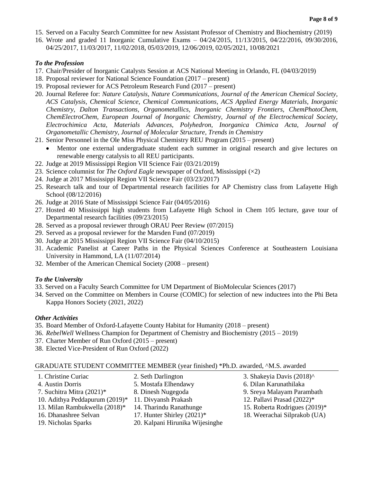- 15. Served on a Faculty Search Committee for new Assistant Professor of Chemistry and Biochemistry (2019)
- 16. Wrote and graded 11 Inorganic Cumulative Exams 04/24/2015, 11/13/2015, 04/22/2016, 09/30/2016, 04/25/2017, 11/03/2017, 11/02/2018, 05/03/2019, 12/06/2019, 02/05/2021, 10/08/2021

# *To the Profession*

- 17. Chair/Presider of Inorganic Catalysts Session at ACS National Meeting in Orlando, FL (04/03/2019)
- 18. Proposal reviewer for National Science Foundation (2017 present)
- 19. Proposal reviewer for ACS Petroleum Research Fund (2017 present)
- 20. Journal Referee for: *Nature Catalysis, Nature Communications, Journal of the American Chemical Society, ACS Catalysis, Chemical Science, Chemical Communications, ACS Applied Energy Materials, Inorganic Chemistry, Dalton Transactions, Organometallics, Inorganic Chemistry Frontiers, ChemPhotoChem, ChemElectroChem, European Journal of Inorganic Chemistry, Journal of the Electrochemical Society, Electrochimica Acta, Materials Advances, Polyhedron, Inorganica Chimica Acta, Journal of Organometallic Chemistry, Journal of Molecular Structure, Trends in Chemistry*
- 21. Senior Personnel in the Ole Miss Physical Chemistry REU Program (2015 present)
	- Mentor one external undergraduate student each summer in original research and give lectures on renewable energy catalysis to all REU participants.
- 22. Judge at 2019 Mississippi Region VII Science Fair (03/21/2019)
- 23. Science columnist for *The Oxford Eagle* newspaper of Oxford, Mississippi (×2)
- 24. Judge at 2017 Mississippi Region VII Science Fair (03/23/2017)
- 25. Research talk and tour of Departmental research facilities for AP Chemistry class from Lafayette High School (08/12/2016)
- 26. Judge at 2016 State of Mississippi Science Fair (04/05/2016)
- 27. Hosted 40 Mississippi high students from Lafayette High School in Chem 105 lecture, gave tour of Departmental research facilities (09/23/2015)
- 28. Served as a proposal reviewer through ORAU Peer Review (07/2015)
- 29. Served as a proposal reviewer for the Marsden Fund (07/2019)
- 30. Judge at 2015 Mississippi Region VII Science Fair (04/10/2015)
- 31. Academic Panelist at Career Paths in the Physical Sciences Conference at Southeastern Louisiana University in Hammond, LA (11/07/2014)
- 32. Member of the American Chemical Society (2008 present)

# *To the University*

- 33. Served on a Faculty Search Committee for UM Department of BioMolecular Sciences (2017)
- 34. Served on the Committee on Members in Course (COMIC) for selection of new inductees into the Phi Beta Kappa Honors Society (2021, 2022)

# *Other Activities*

- 35. Board Member of Oxford-Lafayette County Habitat for Humanity (2018 present)
- 36. *RebelWell* Wellness Champion for Department of Chemistry and Biochemistry (2015 2019)
- 37. Charter Member of Run Oxford (2015 present)
- 38. Elected Vice-President of Run Oxford (2022)

### GRADUATE STUDENT COMMITTEE MEMBER (year finished) \*Ph.D. awarded, ^M.S. awarded

| 1. Christine Curiac               | 2. Seth Darlington              | 3. Shakeyia Davis (2018)^     |
|-----------------------------------|---------------------------------|-------------------------------|
| 4. Austin Dorris                  | 5. Mostafa Elhendawy            | 6. Dilan Karunathilaka        |
| 7. Suchitra Mitra (2021)*         | 8. Dinesh Nugegoda              | 9. Sreya Malayam Parambath    |
| 10. Adithya Peddapurum $(2019)^*$ | 11. Divyansh Prakash            | 12. Pallavi Prasad (2022)*    |
| 13. Milan Rambukwella (2018)*     | 14. Tharindu Ranathunge         | 15. Roberta Rodrigues (2019)* |
| 16. Dhanashree Selvan             | 17. Hunter Shirley $(2021)^*$   | 18. Weerachai Silprakob (UA)  |
| 19. Nicholas Sparks               | 20. Kalpani Hirunika Wijesinghe |                               |